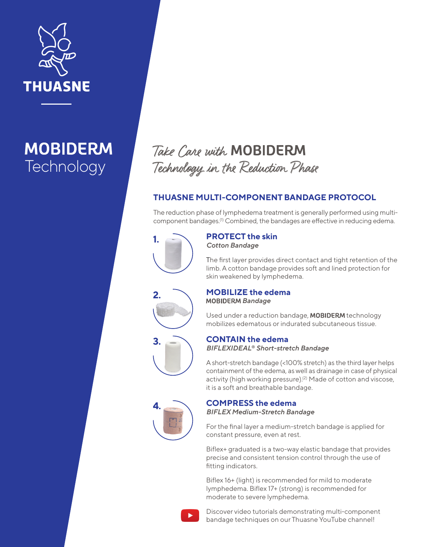

## **MOBIDERM Technology**

# Take Care with **MOBIDERM**<br>Technology in the Reduction Phase

### **THUASNE MULTI-COMPONENT BANDAGE PROTOCOL**

The reduction phase of lymphedema treatment is generally performed using multicomponent bandages.(1) Combined, the bandages are effective in reducing edema.



**2.**

**3.**

### **PROTECT the skin** *Cotton Bandage*

The first layer provides direct contact and tight retention of the limb. A cotton bandage provides soft and lined protection for skin weakened by lymphedema.



Used under a reduction bandage, MOBIDERM technology mobilizes edematous or indurated subcutaneous tissue.

### **CONTAIN the edema** *BIFLEXIDEAL® Short-stretch Bandage*

A short-stretch bandage (<100% stretch) as the third layer helps containment of the edema, as well as drainage in case of physical activity (high working pressure).<sup>(2)</sup> Made of cotton and viscose, it is a soft and breathable bandage.



### **COMPRESS the edema**

*BIFLEX Medium-Stretch Bandage*

For the final layer a medium-stretch bandage is applied for constant pressure, even at rest.

Biflex+ graduated is a two-way elastic bandage that provides precise and consistent tension control through the use of fitting indicators.

Biflex 16+ (light) is recommended for mild to moderate lymphedema. Biflex 17+ (strong) is recommended for moderate to severe lymphedema.



Discover video tutorials demonstrating multi-component bandage techniques on our Thuasne YouTube channel!